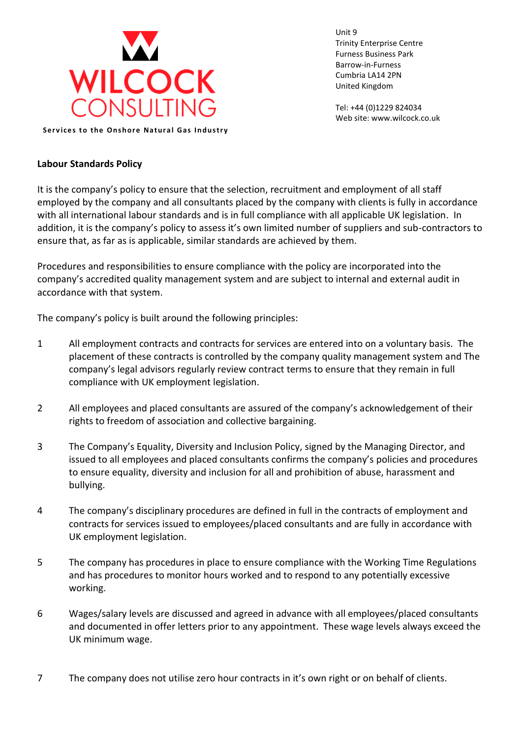

Unit 9 Trinity Enterprise Centre Furness Business Park Barrow-in-Furness Cumbria LA14 2PN United Kingdom

Tel: +44 (0)1229 824034 Web site: www.wilcock.co.uk

**Labour Standards Policy**

It is the company's policy to ensure that the selection, recruitment and employment of all staff employed by the company and all consultants placed by the company with clients is fully in accordance with all international labour standards and is in full compliance with all applicable UK legislation. In addition, it is the company's policy to assess it's own limited number of suppliers and sub-contractors to ensure that, as far as is applicable, similar standards are achieved by them.

Procedures and responsibilities to ensure compliance with the policy are incorporated into the company's accredited quality management system and are subject to internal and external audit in accordance with that system.

The company's policy is built around the following principles:

- 1 All employment contracts and contracts for services are entered into on a voluntary basis. The placement of these contracts is controlled by the company quality management system and The company's legal advisors regularly review contract terms to ensure that they remain in full compliance with UK employment legislation.
- 2 All employees and placed consultants are assured of the company's acknowledgement of their rights to freedom of association and collective bargaining.
- 3 The Company's Equality, Diversity and Inclusion Policy, signed by the Managing Director, and issued to all employees and placed consultants confirms the company's policies and procedures to ensure equality, diversity and inclusion for all and prohibition of abuse, harassment and bullying.
- 4 The company's disciplinary procedures are defined in full in the contracts of employment and contracts for services issued to employees/placed consultants and are fully in accordance with UK employment legislation.
- 5 The company has procedures in place to ensure compliance with the Working Time Regulations and has procedures to monitor hours worked and to respond to any potentially excessive working.
- 6 Wages/salary levels are discussed and agreed in advance with all employees/placed consultants and documented in offer letters prior to any appointment. These wage levels always exceed the UK minimum wage.
- 7 The company does not utilise zero hour contracts in it's own right or on behalf of clients.